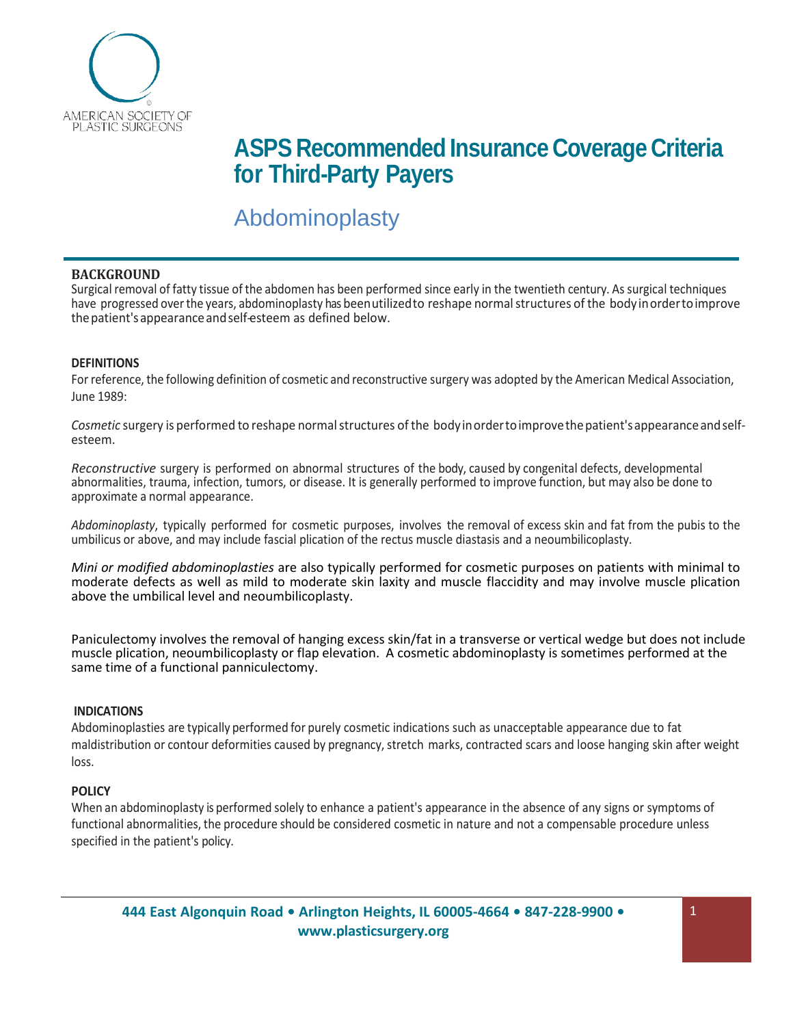

# **ASPS** Recommended Insurance Coverage Criteria **for Third-Party Payers**

# Abdominoplasty

## **BACKGROUND**

Surgical removal of fatty tissue of the abdomen has been performed since early in the twentieth century. As surgical techniques have progressed over the years, abdominoplasty has been utilized to reshape normal structures of the body in order to improve thepatient'sappearanceandself-esteem as defined below.

## **DEFINITIONS**

For reference, the following definition of cosmetic and reconstructive surgery was adopted by the American Medical Association, June 1989:

*Cosmetic* surgery is performed to reshape normalstructures of the bodyinordertoimprovethepatient'sappearanceandselfesteem.

*Reconstructive* surgery is performed on abnormal structures of the body, caused by congenital defects, developmental abnormalities, trauma, infection, tumors, or disease. It is generally performed to improve function, but may also be done to approximate a normal appearance.

*Abdominoplasty*, typically performed for cosmetic purposes, involves the removal of excess skin and fat from the pubis to the umbilicus or above, and may include fascial plication of the rectus muscle diastasis and a neoumbilicoplasty.

*Mini or modified abdominoplasties* are also typically performed for cosmetic purposes on patients with minimal to moderate defects as well as mild to moderate skin laxity and muscle flaccidity and may involve muscle plication above the umbilical level and neoumbilicoplasty.

Paniculectomy involves the removal of hanging excess skin/fat in a transverse or vertical wedge but does not include muscle plication, neoumbilicoplasty or flap elevation. A cosmetic abdominoplasty is sometimes performed at the same time of a functional panniculectomy.

#### **INDICATIONS**

Abdominoplasties are typically performed for purely cosmetic indications such as unacceptable appearance due to fat maldistribution or contour deformities caused by pregnancy, stretch marks, contracted scars and loose hanging skin after weight loss.

#### **POLICY**

When an abdominoplasty is performed solely to enhance a patient's appearance in the absence of any signs or symptoms of functional abnormalities, the procedure should be considered cosmetic in nature and not a compensable procedure unless specified in the patient's policy.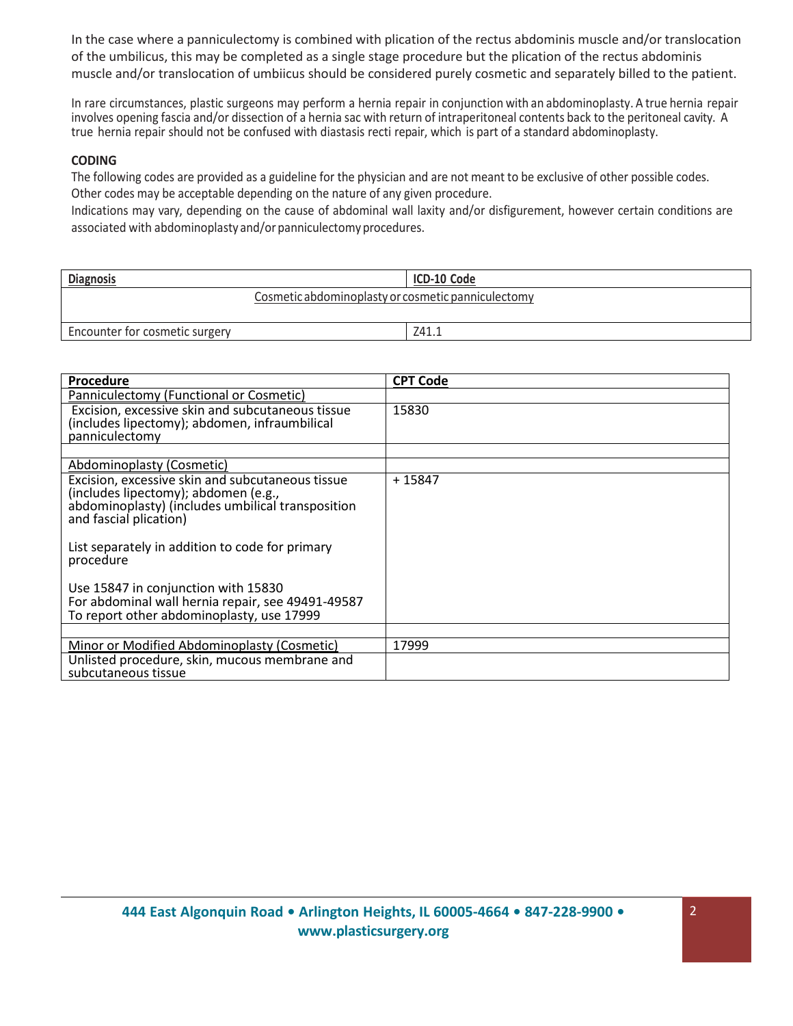In the case where a panniculectomy is combined with plication of the rectus abdominis muscle and/or translocation of the umbilicus, this may be completed as a single stage procedure but the plication of the rectus abdominis muscle and/or translocation of umbiicus should be considered purely cosmetic and separately billed to the patient.

In rare circumstances, plastic surgeons may perform a hernia repair in conjunction with an abdominoplasty. A true hernia repair involves opening fascia and/or dissection of a hernia sac with return of intraperitoneal contents back to the peritoneal cavity. A true hernia repair should not be confused with diastasis recti repair, which is part of a standard abdominoplasty.

# **CODING**

The following codes are provided as a guideline for the physician and are not meant to be exclusive of other possible codes. Other codes may be acceptable depending on the nature of any given procedure.

Indications may vary, depending on the cause of abdominal wall laxity and/or disfigurement, however certain conditions are associated with abdominoplasty and/or panniculectomy procedures.

| <b>Diagnosis</b>                                   | ICD-10 Code |  |
|----------------------------------------------------|-------------|--|
| Cosmetic abdominoplasty or cosmetic panniculectomy |             |  |
| Encounter for cosmetic surgery                     | Z41.1       |  |

| <b>Procedure</b>                                                                                                                                                                                                                        | <b>CPT Code</b> |
|-----------------------------------------------------------------------------------------------------------------------------------------------------------------------------------------------------------------------------------------|-----------------|
| Panniculectomy (Functional or Cosmetic)                                                                                                                                                                                                 |                 |
| Excision, excessive skin and subcutaneous tissue<br>(includes lipectomy); abdomen, infraumbilical<br>panniculectomy                                                                                                                     | 15830           |
|                                                                                                                                                                                                                                         |                 |
| Abdominoplasty (Cosmetic)                                                                                                                                                                                                               |                 |
| Excision, excessive skin and subcutaneous tissue<br>(includes lipectomy); abdomen (e.g.,<br>abdominoplasty) (includes umbilical transposition<br>and fascial plication)<br>List separately in addition to code for primary<br>procedure | +15847          |
| Use 15847 in conjunction with 15830<br>For abdominal wall hernia repair, see 49491-49587<br>To report other abdominoplasty, use 17999                                                                                                   |                 |
|                                                                                                                                                                                                                                         |                 |
| Minor or Modified Abdominoplasty (Cosmetic)                                                                                                                                                                                             | 17999           |
| Unlisted procedure, skin, mucous membrane and<br>subcutaneous tissue                                                                                                                                                                    |                 |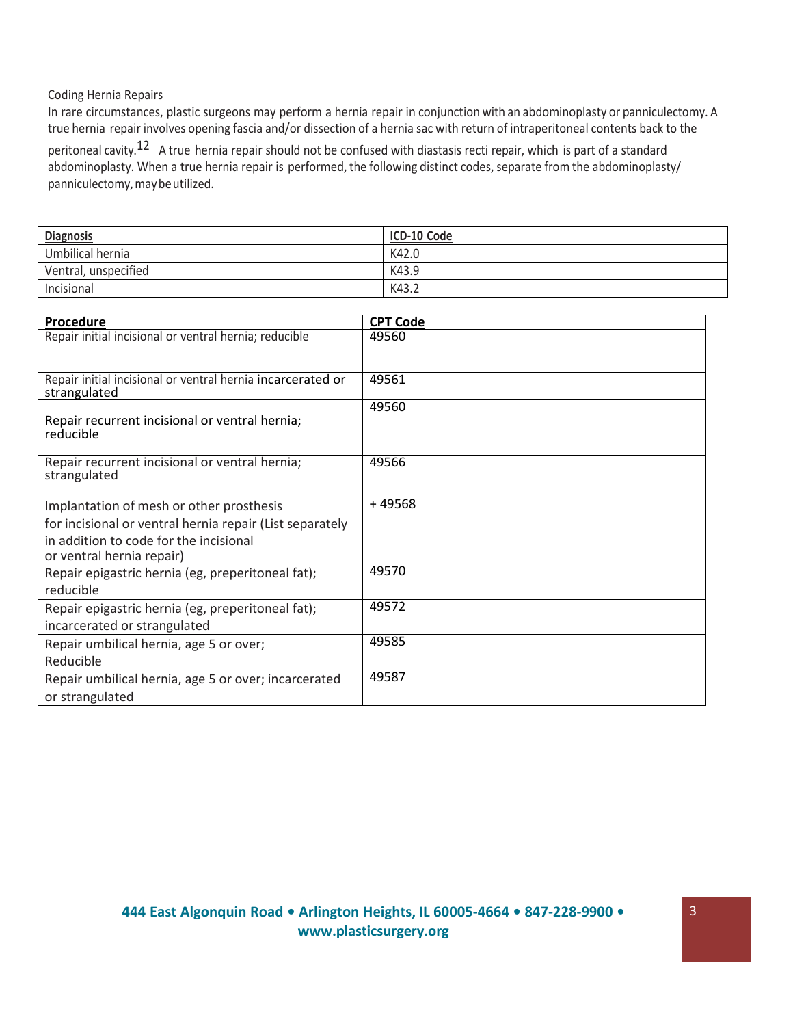# Coding Hernia Repairs

In rare circumstances, plastic surgeons may perform a hernia repair in conjunction with an abdominoplasty or panniculectomy. A true hernia repair involves opening fascia and/or dissection of a hernia sac with return of intraperitoneal contents back to the

peritoneal cavity.<sup>12</sup> A true hernia repair should not be confused with diastasis recti repair, which is part of a standard abdominoplasty. When a true hernia repair is performed, the following distinct codes, separate from the abdominoplasty/ panniculectomy, may be utilized.

| <b>Diagnosis</b>     | ICD-10 Code |
|----------------------|-------------|
| Umbilical hernia     | K42.0       |
| Ventral, unspecified | K43.9       |
| Incisional           | K43.2       |

| <b>Procedure</b>                                               | <b>CPT Code</b> |
|----------------------------------------------------------------|-----------------|
| Repair initial incisional or ventral hernia; reducible         | 49560           |
| Repair initial incisional or ventral hernia incarcerated or    | 49561           |
| strangulated                                                   |                 |
| Repair recurrent incisional or ventral hernia;<br>reducible    | 49560           |
| Repair recurrent incisional or ventral hernia;<br>strangulated | 49566           |
| Implantation of mesh or other prosthesis                       | +49568          |
| for incisional or ventral hernia repair (List separately       |                 |
| in addition to code for the incisional                         |                 |
| or ventral hernia repair)                                      |                 |
| Repair epigastric hernia (eg, preperitoneal fat);              | 49570           |
| reducible                                                      |                 |
| Repair epigastric hernia (eg, preperitoneal fat);              | 49572           |
| incarcerated or strangulated                                   |                 |
| Repair umbilical hernia, age 5 or over;                        | 49585           |
| Reducible                                                      |                 |
| Repair umbilical hernia, age 5 or over; incarcerated           | 49587           |
| or strangulated                                                |                 |